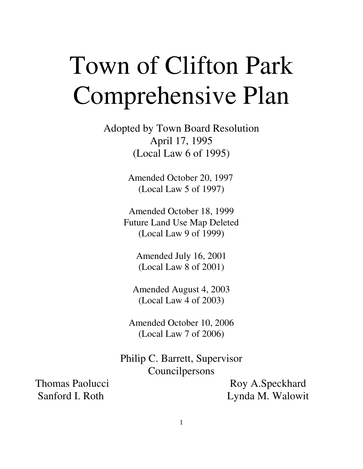# Town of Clifton Park Comprehensive Plan

Adopted by Town Board Resolution April 17, 1995 (Local Law 6 of 1995)

> Amended October 20, 1997 (Local Law 5 of 1997)

Amended October 18, 1999 Future Land Use Map Deleted (Local Law 9 of 1999)

> Amended July 16, 2001 (Local Law 8 of 2001)

Amended August 4, 2003 (Local Law 4 of 2003)

Amended October 10, 2006 (Local Law 7 of 2006)

Philip C. Barrett, Supervisor Councilpersons

Thomas Paolucci Roy A.Speckhard Sanford I. Roth Lynda M. Walowit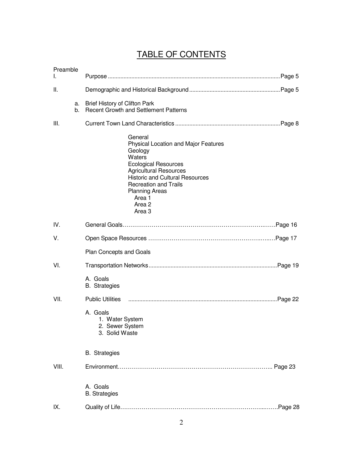# TABLE OF CONTENTS

| Preamble<br>L |                                                                                                                                                                                                                                                                                                    |  |
|---------------|----------------------------------------------------------------------------------------------------------------------------------------------------------------------------------------------------------------------------------------------------------------------------------------------------|--|
| Ш.            |                                                                                                                                                                                                                                                                                                    |  |
| а.<br>b.      | Brief History of Clifton Park<br><b>Recent Growth and Settlement Patterns</b>                                                                                                                                                                                                                      |  |
| III.          |                                                                                                                                                                                                                                                                                                    |  |
|               | General<br><b>Physical Location and Major Features</b><br>Geology<br>Waters<br><b>Ecological Resources</b><br><b>Agricultural Resources</b><br><b>Historic and Cultural Resources</b><br><b>Recreation and Trails</b><br><b>Planning Areas</b><br>Area 1<br>Area <sub>2</sub><br>Area <sub>3</sub> |  |
| IV.           |                                                                                                                                                                                                                                                                                                    |  |
| V.            |                                                                                                                                                                                                                                                                                                    |  |
|               | Plan Concepts and Goals                                                                                                                                                                                                                                                                            |  |
| VI.           |                                                                                                                                                                                                                                                                                                    |  |
|               | A. Goals<br><b>B.</b> Strategies                                                                                                                                                                                                                                                                   |  |
| VII.          | <b>Public Utilities</b>                                                                                                                                                                                                                                                                            |  |
|               | A. Goals<br>1. Water System<br>2. Sewer System<br>3. Solid Waste                                                                                                                                                                                                                                   |  |
|               | <b>B.</b> Strategies                                                                                                                                                                                                                                                                               |  |
| VIII.         |                                                                                                                                                                                                                                                                                                    |  |
|               | A. Goals<br><b>B.</b> Strategies                                                                                                                                                                                                                                                                   |  |
| IX.           | Page 28                                                                                                                                                                                                                                                                                            |  |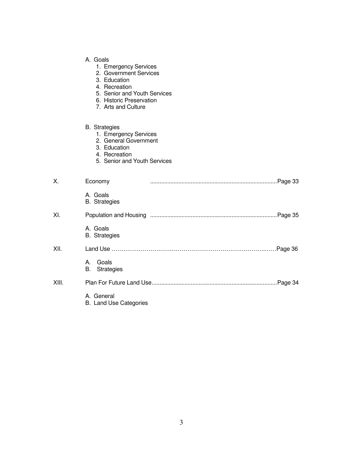- 1. Emergency Services
- 2. Government Services
- 3. Education
- 4. Recreation
- 5. Senior and Youth Services
- 6. Historic Preservation
- 7. Arts and Culture

#### B. Strategies

- 1. Emergency Services
	- 2. General Government
	- 3. Education
	- 4. Recreation
	- 5. Senior and Youth Services

| Χ.    | Economy                                     | Page 33. |
|-------|---------------------------------------------|----------|
|       | A. Goals<br><b>B.</b> Strategies            |          |
| XI.   |                                             |          |
|       | A. Goals<br><b>B.</b> Strategies            |          |
| XII.  |                                             |          |
|       | Goals<br>А.<br><b>B.</b> Strategies         |          |
| XIII. |                                             | .Page 34 |
|       | A. General<br><b>B.</b> Land Use Categories |          |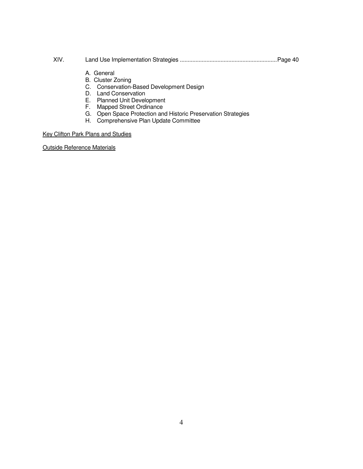- XIV. Land Use Implementation Strategies ..............................................................Page 40
	- A. General
	- B. Cluster Zoning
	- C. Conservation-Based Development Design
	- D. Land Conservation
	- E. Planned Unit Development
	- F. Mapped Street Ordinance
	- G. Open Space Protection and Historic Preservation Strategies
	- H. Comprehensive Plan Update Committee

#### Key Clifton Park Plans and Studies

Outside Reference Materials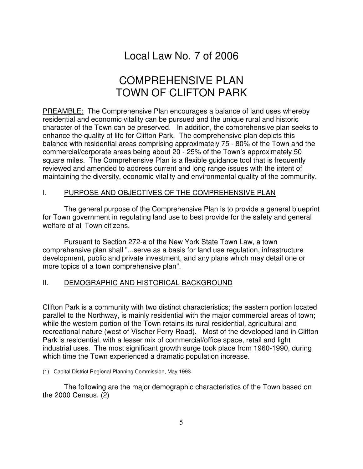# Local Law No. 7 of 2006

# COMPREHENSIVE PLAN TOWN OF CLIFTON PARK

PREAMBLE: The Comprehensive Plan encourages a balance of land uses whereby residential and economic vitality can be pursued and the unique rural and historic character of the Town can be preserved. In addition, the comprehensive plan seeks to enhance the quality of life for Clifton Park. The comprehensive plan depicts this balance with residential areas comprising approximately 75 - 80% of the Town and the commercial/corporate areas being about 20 - 25% of the Town's approximately 50 square miles. The Comprehensive Plan is a flexible guidance tool that is frequently reviewed and amended to address current and long range issues with the intent of maintaining the diversity, economic vitality and environmental quality of the community.

#### I. PURPOSE AND OBJECTIVES OF THE COMPREHENSIVE PLAN

The general purpose of the Comprehensive Plan is to provide a general blueprint for Town government in regulating land use to best provide for the safety and general welfare of all Town citizens.

Pursuant to Section 272-a of the New York State Town Law, a town comprehensive plan shall "...serve as a basis for land use regulation, infrastructure development, public and private investment, and any plans which may detail one or more topics of a town comprehensive plan".

#### II. DEMOGRAPHIC AND HISTORICAL BACKGROUND

Clifton Park is a community with two distinct characteristics; the eastern portion located parallel to the Northway, is mainly residential with the major commercial areas of town; while the western portion of the Town retains its rural residential, agricultural and recreational nature (west of Vischer Ferry Road). Most of the developed land in Clifton Park is residential, with a lesser mix of commercial/office space, retail and light industrial uses. The most significant growth surge took place from 1960-1990, during which time the Town experienced a dramatic population increase.

#### (1) Capital District Regional Planning Commission, May 1993

The following are the major demographic characteristics of the Town based on the 2000 Census. (2)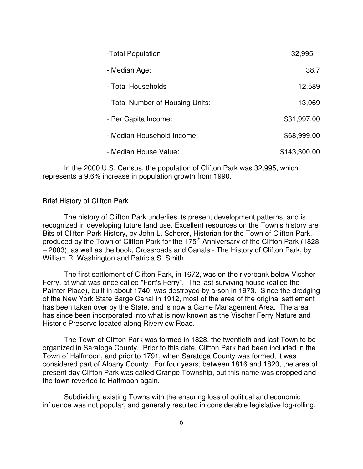| -Total Population                | 32,995       |
|----------------------------------|--------------|
| - Median Age:                    | 38.7         |
| - Total Households               | 12,589       |
| - Total Number of Housing Units: | 13,069       |
| - Per Capita Income:             | \$31,997.00  |
| - Median Household Income:       | \$68,999.00  |
| - Median House Value:            | \$143,300.00 |

In the 2000 U.S. Census, the population of Clifton Park was 32,995, which represents a 9.6% increase in population growth from 1990.

#### Brief History of Clifton Park

The history of Clifton Park underlies its present development patterns, and is recognized in developing future land use. Excellent resources on the Town's history are Bits of Clifton Park History, by John L. Scherer, Historian for the Town of Clifton Park, produced by the Town of Clifton Park for the  $175<sup>th</sup>$  Anniversary of the Clifton Park (1828) – 2003), as well as the book, Crossroads and Canals - The History of Clifton Park, by William R. Washington and Patricia S. Smith.

The first settlement of Clifton Park, in 1672, was on the riverbank below Vischer Ferry, at what was once called "Fort's Ferry". The last surviving house (called the Painter Place), built in about 1740, was destroyed by arson in 1973. Since the dredging of the New York State Barge Canal in 1912, most of the area of the original settlement has been taken over by the State, and is now a Game Management Area. The area has since been incorporated into what is now known as the Vischer Ferry Nature and Historic Preserve located along Riverview Road.

The Town of Clifton Park was formed in 1828, the twentieth and last Town to be organized in Saratoga County. Prior to this date, Clifton Park had been included in the Town of Halfmoon, and prior to 1791, when Saratoga County was formed, it was considered part of Albany County. For four years, between 1816 and 1820, the area of present day Clifton Park was called Orange Township, but this name was dropped and the town reverted to Halfmoon again.

Subdividing existing Towns with the ensuring loss of political and economic influence was not popular, and generally resulted in considerable legislative log-rolling.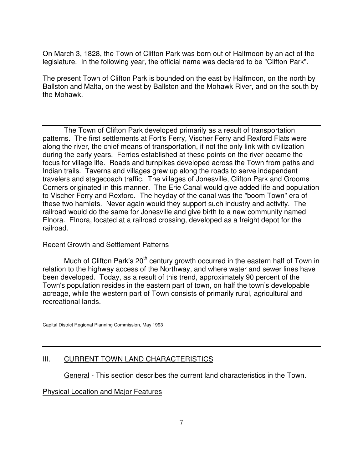On March 3, 1828, the Town of Clifton Park was born out of Halfmoon by an act of the legislature. In the following year, the official name was declared to be "Clifton Park".

The present Town of Clifton Park is bounded on the east by Halfmoon, on the north by Ballston and Malta, on the west by Ballston and the Mohawk River, and on the south by the Mohawk.

The Town of Clifton Park developed primarily as a result of transportation patterns. The first settlements at Fort's Ferry, Vischer Ferry and Rexford Flats were along the river, the chief means of transportation, if not the only link with civilization during the early years. Ferries established at these points on the river became the focus for village life. Roads and turnpikes developed across the Town from paths and Indian trails. Taverns and villages grew up along the roads to serve independent travelers and stagecoach traffic. The villages of Jonesville, Clifton Park and Grooms Corners originated in this manner. The Erie Canal would give added life and population to Vischer Ferry and Rexford. The heyday of the canal was the "boom Town" era of these two hamlets. Never again would they support such industry and activity. The railroad would do the same for Jonesville and give birth to a new community named Elnora. Elnora, located at a railroad crossing, developed as a freight depot for the railroad.

#### Recent Growth and Settlement Patterns

Much of Clifton Park's  $20<sup>th</sup>$  century growth occurred in the eastern half of Town in relation to the highway access of the Northway, and where water and sewer lines have been developed. Today, as a result of this trend, approximately 90 percent of the Town's population resides in the eastern part of town, on half the town's developable acreage, while the western part of Town consists of primarily rural, agricultural and recreational lands.

Capital District Regional Planning Commission, May 1993

#### III. CURRENT TOWN LAND CHARACTERISTICS

General - This section describes the current land characteristics in the Town.

#### Physical Location and Major Features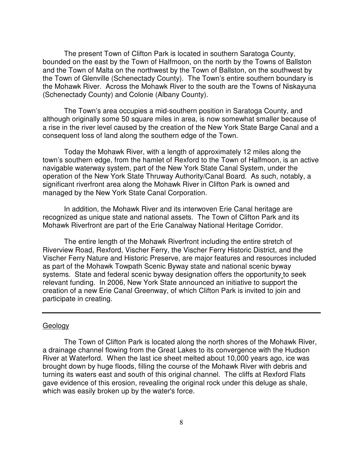The present Town of Clifton Park is located in southern Saratoga County, bounded on the east by the Town of Halfmoon, on the north by the Towns of Ballston and the Town of Malta on the northwest by the Town of Ballston, on the southwest by the Town of Glenville (Schenectady County). The Town's entire southern boundary is the Mohawk River. Across the Mohawk River to the south are the Towns of Niskayuna (Schenectady County) and Colonie (Albany County).

The Town's area occupies a mid-southern position in Saratoga County, and although originally some 50 square miles in area, is now somewhat smaller because of a rise in the river level caused by the creation of the New York State Barge Canal and a consequent loss of land along the southern edge of the Town.

Today the Mohawk River, with a length of approximately 12 miles along the town's southern edge, from the hamlet of Rexford to the Town of Halfmoon, is an active navigable waterway system, part of the New York State Canal System, under the operation of the New York State Thruway Authority/Canal Board. As such, notably, a significant riverfront area along the Mohawk River in Clifton Park is owned and managed by the New York State Canal Corporation.

In addition, the Mohawk River and its interwoven Erie Canal heritage are recognized as unique state and national assets. The Town of Clifton Park and its Mohawk Riverfront are part of the Erie Canalway National Heritage Corridor.

The entire length of the Mohawk Riverfront including the entire stretch of Riverview Road, Rexford, Vischer Ferry, the Vischer Ferry Historic District, and the Vischer Ferry Nature and Historic Preserve, are major features and resources included as part of the Mohawk Towpath Scenic Byway state and national scenic byway systems. State and federal scenic byway designation offers the opportunity to seek relevant funding. In 2006, New York State announced an initiative to support the creation of a new Erie Canal Greenway, of which Clifton Park is invited to join and participate in creating.

#### Geology

The Town of Clifton Park is located along the north shores of the Mohawk River, a drainage channel flowing from the Great Lakes to its convergence with the Hudson River at Waterford. When the last ice sheet melted about 10,000 years ago, ice was brought down by huge floods, filling the course of the Mohawk River with debris and turning its waters east and south of this original channel. The cliffs at Rexford Flats gave evidence of this erosion, revealing the original rock under this deluge as shale, which was easily broken up by the water's force.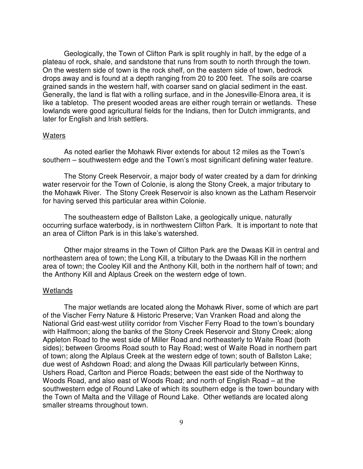Geologically, the Town of Clifton Park is split roughly in half, by the edge of a plateau of rock, shale, and sandstone that runs from south to north through the town. On the western side of town is the rock shelf, on the eastern side of town, bedrock drops away and is found at a depth ranging from 20 to 200 feet. The soils are coarse grained sands in the western half, with coarser sand on glacial sediment in the east. Generally, the land is flat with a rolling surface, and in the Jonesville-Elnora area, it is like a tabletop. The present wooded areas are either rough terrain or wetlands. These lowlands were good agricultural fields for the Indians, then for Dutch immigrants, and later for English and Irish settlers.

#### Waters

As noted earlier the Mohawk River extends for about 12 miles as the Town's southern – southwestern edge and the Town's most significant defining water feature.

The Stony Creek Reservoir, a major body of water created by a dam for drinking water reservoir for the Town of Colonie, is along the Stony Creek, a major tributary to the Mohawk River. The Stony Creek Reservoir is also known as the Latham Reservoir for having served this particular area within Colonie.

The southeastern edge of Ballston Lake, a geologically unique, naturally occurring surface waterbody, is in northwestern Clifton Park. It is important to note that an area of Clifton Park is in this lake's watershed.

Other major streams in the Town of Clifton Park are the Dwaas Kill in central and northeastern area of town; the Long Kill, a tributary to the Dwaas Kill in the northern area of town; the Cooley Kill and the Anthony Kill, both in the northern half of town; and the Anthony Kill and Alplaus Creek on the western edge of town.

#### Wetlands

 The major wetlands are located along the Mohawk River, some of which are part of the Vischer Ferry Nature & Historic Preserve; Van Vranken Road and along the National Grid east-west utility corridor from Vischer Ferry Road to the town's boundary with Halfmoon; along the banks of the Stony Creek Reservoir and Stony Creek; along Appleton Road to the west side of Miller Road and northeasterly to Waite Road (both sides); between Grooms Road south to Ray Road; west of Waite Road in northern part of town; along the Alplaus Creek at the western edge of town; south of Ballston Lake; due west of Ashdown Road; and along the Dwaas Kill particularly between Kinns, Ushers Road, Carlton and Pierce Roads; between the east side of the Northway to Woods Road, and also east of Woods Road; and north of English Road – at the southwestern edge of Round Lake of which its southern edge is the town boundary with the Town of Malta and the Village of Round Lake. Other wetlands are located along smaller streams throughout town.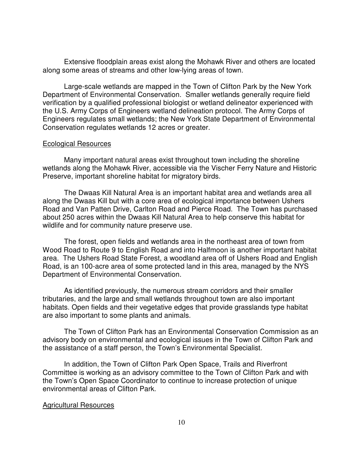Extensive floodplain areas exist along the Mohawk River and others are located along some areas of streams and other low-lying areas of town.

Large-scale wetlands are mapped in the Town of Clifton Park by the New York Department of Environmental Conservation. Smaller wetlands generally require field verification by a qualified professional biologist or wetland delineator experienced with the U.S. Army Corps of Engineers wetland delineation protocol. The Army Corps of Engineers regulates small wetlands; the New York State Department of Environmental Conservation regulates wetlands 12 acres or greater.

#### Ecological Resources

Many important natural areas exist throughout town including the shoreline wetlands along the Mohawk River, accessible via the Vischer Ferry Nature and Historic Preserve, important shoreline habitat for migratory birds.

The Dwaas Kill Natural Area is an important habitat area and wetlands area all along the Dwaas Kill but with a core area of ecological importance between Ushers Road and Van Patten Drive, Carlton Road and Pierce Road. The Town has purchased about 250 acres within the Dwaas Kill Natural Area to help conserve this habitat for wildlife and for community nature preserve use.

The forest, open fields and wetlands area in the northeast area of town from Wood Road to Route 9 to English Road and into Halfmoon is another important habitat area. The Ushers Road State Forest, a woodland area off of Ushers Road and English Road, is an 100-acre area of some protected land in this area, managed by the NYS Department of Environmental Conservation.

As identified previously, the numerous stream corridors and their smaller tributaries, and the large and small wetlands throughout town are also important habitats. Open fields and their vegetative edges that provide grasslands type habitat are also important to some plants and animals.

The Town of Clifton Park has an Environmental Conservation Commission as an advisory body on environmental and ecological issues in the Town of Clifton Park and the assistance of a staff person, the Town's Environmental Specialist.

In addition, the Town of Clifton Park Open Space, Trails and Riverfront Committee is working as an advisory committee to the Town of Clifton Park and with the Town's Open Space Coordinator to continue to increase protection of unique environmental areas of Clifton Park.

#### Agricultural Resources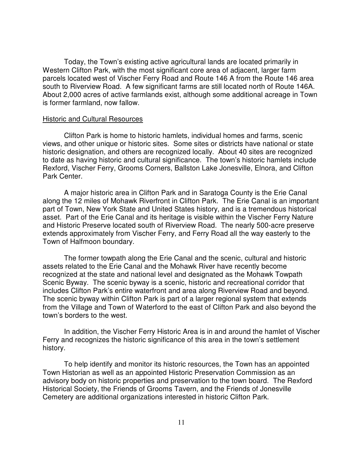Today, the Town's existing active agricultural lands are located primarily in Western Clifton Park, with the most significant core area of adjacent, larger farm parcels located west of Vischer Ferry Road and Route 146 A from the Route 146 area south to Riverview Road. A few significant farms are still located north of Route 146A. About 2,000 acres of active farmlands exist, although some additional acreage in Town is former farmland, now fallow.

#### Historic and Cultural Resources

Clifton Park is home to historic hamlets, individual homes and farms, scenic views, and other unique or historic sites. Some sites or districts have national or state historic designation, and others are recognized locally. About 40 sites are recognized to date as having historic and cultural significance. The town's historic hamlets include Rexford, Vischer Ferry, Grooms Corners, Ballston Lake Jonesville, Elnora, and Clifton Park Center.

A major historic area in Clifton Park and in Saratoga County is the Erie Canal along the 12 miles of Mohawk Riverfront in Clifton Park. The Erie Canal is an important part of Town, New York State and United States history, and is a tremendous historical asset. Part of the Erie Canal and its heritage is visible within the Vischer Ferry Nature and Historic Preserve located south of Riverview Road. The nearly 500-acre preserve extends approximately from Vischer Ferry, and Ferry Road all the way easterly to the Town of Halfmoon boundary.

The former towpath along the Erie Canal and the scenic, cultural and historic assets related to the Erie Canal and the Mohawk River have recently become recognized at the state and national level and designated as the Mohawk Towpath Scenic Byway. The scenic byway is a scenic, historic and recreational corridor that includes Clifton Park's entire waterfront and area along Riverview Road and beyond. The scenic byway within Clifton Park is part of a larger regional system that extends from the Village and Town of Waterford to the east of Clifton Park and also beyond the town's borders to the west.

In addition, the Vischer Ferry Historic Area is in and around the hamlet of Vischer Ferry and recognizes the historic significance of this area in the town's settlement history.

To help identify and monitor its historic resources, the Town has an appointed Town Historian as well as an appointed Historic Preservation Commission as an advisory body on historic properties and preservation to the town board. The Rexford Historical Society, the Friends of Grooms Tavern, and the Friends of Jonesville Cemetery are additional organizations interested in historic Clifton Park.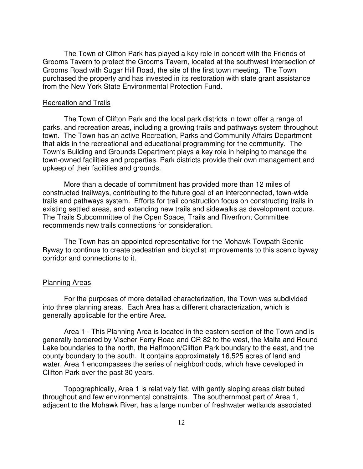The Town of Clifton Park has played a key role in concert with the Friends of Grooms Tavern to protect the Grooms Tavern, located at the southwest intersection of Grooms Road with Sugar Hill Road, the site of the first town meeting. The Town purchased the property and has invested in its restoration with state grant assistance from the New York State Environmental Protection Fund.

#### Recreation and Trails

The Town of Clifton Park and the local park districts in town offer a range of parks, and recreation areas, including a growing trails and pathways system throughout town. The Town has an active Recreation, Parks and Community Affairs Department that aids in the recreational and educational programming for the community. The Town's Building and Grounds Department plays a key role in helping to manage the town-owned facilities and properties. Park districts provide their own management and upkeep of their facilities and grounds.

More than a decade of commitment has provided more than 12 miles of constructed trailways, contributing to the future goal of an interconnected, town-wide trails and pathways system. Efforts for trail construction focus on constructing trails in existing settled areas, and extending new trails and sidewalks as development occurs. The Trails Subcommittee of the Open Space, Trails and Riverfront Committee recommends new trails connections for consideration.

The Town has an appointed representative for the Mohawk Towpath Scenic Byway to continue to create pedestrian and bicyclist improvements to this scenic byway corridor and connections to it.

#### Planning Areas

For the purposes of more detailed characterization, the Town was subdivided into three planning areas. Each Area has a different characterization, which is generally applicable for the entire Area.

Area 1 - This Planning Area is located in the eastern section of the Town and is generally bordered by Vischer Ferry Road and CR 82 to the west, the Malta and Round Lake boundaries to the north, the Halfmoon/Clifton Park boundary to the east, and the county boundary to the south. It contains approximately 16,525 acres of land and water. Area 1 encompasses the series of neighborhoods, which have developed in Clifton Park over the past 30 years.

Topographically, Area 1 is relatively flat, with gently sloping areas distributed throughout and few environmental constraints. The southernmost part of Area 1, adjacent to the Mohawk River, has a large number of freshwater wetlands associated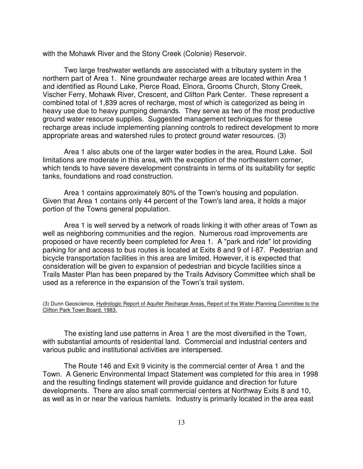with the Mohawk River and the Stony Creek (Colonie) Reservoir.

Two large freshwater wetlands are associated with a tributary system in the northern part of Area 1. Nine groundwater recharge areas are located within Area 1 and identified as Round Lake, Pierce Road, Elnora, Grooms Church, Stony Creek, Vischer Ferry, Mohawk River, Crescent, and Clifton Park Center. These represent a combined total of 1,839 acres of recharge, most of which is categorized as being in heavy use due to heavy pumping demands. They serve as two of the most productive ground water resource supplies. Suggested management techniques for these recharge areas include implementing planning controls to redirect development to more appropriate areas and watershed rules to protect ground water resources. (3)

Area 1 also abuts one of the larger water bodies in the area, Round Lake. Soil limitations are moderate in this area, with the exception of the northeastern corner, which tends to have severe development constraints in terms of its suitability for septic tanks, foundations and road construction.

Area 1 contains approximately 80% of the Town's housing and population. Given that Area 1 contains only 44 percent of the Town's land area, it holds a major portion of the Towns general population.

Area 1 is well served by a network of roads linking it with other areas of Town as well as neighboring communities and the region. Numerous road improvements are proposed or have recently been completed for Area 1. A "park and ride" lot providing parking for and access to bus routes is located at Exits 8 and 9 of I-87. Pedestrian and bicycle transportation facilities in this area are limited. However, it is expected that consideration will be given to expansion of pedestrian and bicycle facilities since a Trails Master Plan has been prepared by the Trails Advisory Committee which shall be used as a reference in the expansion of the Town's trail system.

#### (3) Dunn Geoscience, Hydrologic Report of Aquifer Recharge Areas, Report of the Water Planning Committee to the Clifton Park Town Board, 1983.

The existing land use patterns in Area 1 are the most diversified in the Town, with substantial amounts of residential land. Commercial and industrial centers and various public and institutional activities are interspersed.

The Route 146 and Exit 9 vicinity is the commercial center of Area 1 and the Town. A Generic Environmental Impact Statement was completed for this area in 1998 and the resulting findings statement will provide guidance and direction for future developments. There are also small commercial centers at Northway Exits 8 and 10, as well as in or near the various hamlets. Industry is primarily located in the area east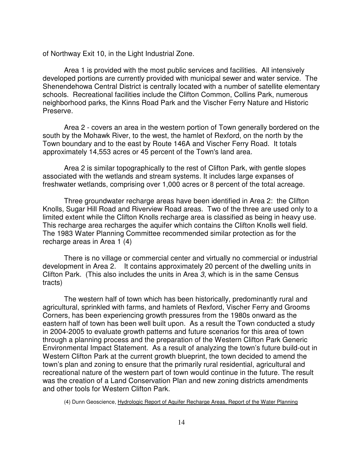of Northway Exit 10, in the Light Industrial Zone.

Area 1 is provided with the most public services and facilities. All intensively developed portions are currently provided with municipal sewer and water service. The Shenendehowa Central District is centrally located with a number of satellite elementary schools. Recreational facilities include the Clifton Common, Collins Park, numerous neighborhood parks, the Kinns Road Park and the Vischer Ferry Nature and Historic Preserve.

Area 2 - covers an area in the western portion of Town generally bordered on the south by the Mohawk River, to the west, the hamlet of Rexford, on the north by the Town boundary and to the east by Route 146A and Vischer Ferry Road. It totals approximately 14,553 acres or 45 percent of the Town's land area.

Area 2 is similar topographically to the rest of Clifton Park, with gentle slopes associated with the wetlands and stream systems. It includes large expanses of freshwater wetlands, comprising over 1,000 acres or 8 percent of the total acreage.

Three groundwater recharge areas have been identified in Area 2: the Clifton Knolls, Sugar Hill Road and Riverview Road areas. Two of the three are used only to a limited extent while the Clifton Knolls recharge area is classified as being in heavy use. This recharge area recharges the aquifer which contains the Clifton Knolls well field. The 1983 Water Planning Committee recommended similar protection as for the recharge areas in Area 1 (4)

There is no village or commercial center and virtually no commercial or industrial development in Area 2. It contains approximately 20 percent of the dwelling units in Clifton Park. (This also includes the units in Area 3, which is in the same Census tracts)

The western half of town which has been historically, predominantly rural and agricultural, sprinkled with farms, and hamlets of Rexford, Vischer Ferry and Grooms Corners, has been experiencing growth pressures from the 1980s onward as the eastern half of town has been well built upon. As a result the Town conducted a study in 2004-2005 to evaluate growth patterns and future scenarios for this area of town through a planning process and the preparation of the Western Clifton Park Generic Environmental Impact Statement. As a result of analyzing the town's future build-out in Western Clifton Park at the current growth blueprint, the town decided to amend the town's plan and zoning to ensure that the primarily rural residential, agricultural and recreational nature of the western part of town would continue in the future. The result was the creation of a Land Conservation Plan and new zoning districts amendments and other tools for Western Clifton Park.

(4) Dunn Geoscience, Hydrologic Report of Aquifer Recharge Areas, Report of the Water Planning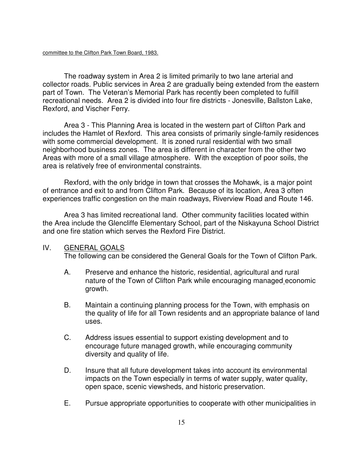The roadway system in Area 2 is limited primarily to two lane arterial and collector roads. Public services in Area 2 are gradually being extended from the eastern part of Town. The Veteran's Memorial Park has recently been completed to fulfill recreational needs. Area 2 is divided into four fire districts - Jonesville, Ballston Lake, Rexford, and Vischer Ferry.

Area 3 - This Planning Area is located in the western part of Clifton Park and includes the Hamlet of Rexford. This area consists of primarily single-family residences with some commercial development. It is zoned rural residential with two small neighborhood business zones. The area is different in character from the other two Areas with more of a small village atmosphere. With the exception of poor soils, the area is relatively free of environmental constraints.

Rexford, with the only bridge in town that crosses the Mohawk, is a major point of entrance and exit to and from Clifton Park. Because of its location, Area 3 often experiences traffic congestion on the main roadways, Riverview Road and Route 146.

Area 3 has limited recreational land. Other community facilities located within the Area include the Glencliffe Elementary School, part of the Niskayuna School District and one fire station which serves the Rexford Fire District.

#### IV. GENERAL GOALS

The following can be considered the General Goals for the Town of Clifton Park.

- A. Preserve and enhance the historic, residential, agricultural and rural nature of the Town of Clifton Park while encouraging managed economic growth.
- B. Maintain a continuing planning process for the Town, with emphasis on the quality of life for all Town residents and an appropriate balance of land uses.
- C. Address issues essential to support existing development and to encourage future managed growth, while encouraging community diversity and quality of life.
- D. Insure that all future development takes into account its environmental impacts on the Town especially in terms of water supply, water quality, open space, scenic viewsheds, and historic preservation.
- E. Pursue appropriate opportunities to cooperate with other municipalities in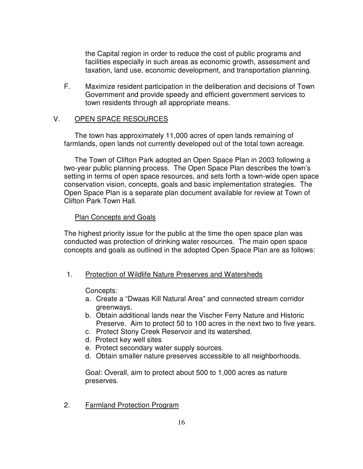the Capital region in order to reduce the cost of public programs and facilities especially in such areas as economic growth, assessment and taxation, land use, economic development, and transportation planning.

F. Maximize resident participation in the deliberation and decisions of Town Government and provide speedy and efficient government services to town residents through all appropriate means.

#### V. OPEN SPACE RESOURCES

The town has approximately 11,000 acres of open lands remaining of farmlands, open lands not currently developed out of the total town acreage.

The Town of Clifton Park adopted an Open Space Plan in 2003 following a two-year public planning process. The Open Space Plan describes the town's setting in terms of open space resources, and sets forth a town-wide open space conservation vision, concepts, goals and basic implementation strategies. The Open Space Plan is a separate plan document available for review at Town of Clifton Park Town Hall.

#### Plan Concepts and Goals

The highest priority issue for the public at the time the open space plan was conducted was protection of drinking water resources. The main open space concepts and goals as outlined in the adopted Open Space Plan are as follows:

1. Protection of Wildlife Nature Preserves and Watersheds

#### Concepts:

- a. Create a "Dwaas Kill Natural Area" and connected stream corridor greenways.
- b. Obtain additional lands near the Vischer Ferry Nature and Historic Preserve. Aim to protect 50 to 100 acres in the next two to five years.
- c. Protect Stony Creek Reservoir and its watershed.
- d. Protect key well sites
- e. Protect secondary water supply sources.
- d. Obtain smaller nature preserves accessible to all neighborhoods.

Goal: Overall, aim to protect about 500 to 1,000 acres as nature preserves.

2. Farmland Protection Program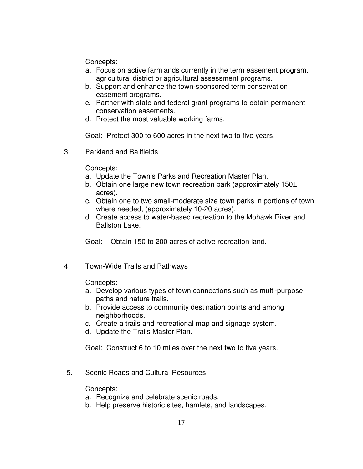Concepts:

- a. Focus on active farmlands currently in the term easement program, agricultural district or agricultural assessment programs.
- b. Support and enhance the town-sponsored term conservation easement programs.
- c. Partner with state and federal grant programs to obtain permanent conservation easements.
- d. Protect the most valuable working farms.

Goal: Protect 300 to 600 acres in the next two to five years.

3. Parkland and Ballfields

Concepts:

- a. Update the Town's Parks and Recreation Master Plan.
- b. Obtain one large new town recreation park (approximately 150± acres).
- c. Obtain one to two small-moderate size town parks in portions of town where needed, (approximately 10-20 acres).
- d. Create access to water-based recreation to the Mohawk River and Ballston Lake.

Goal: Obtain 150 to 200 acres of active recreation land.

# 4. Town-Wide Trails and Pathways

Concepts:

- a. Develop various types of town connections such as multi-purpose paths and nature trails.
- b. Provide access to community destination points and among neighborhoods.
- c. Create a trails and recreational map and signage system.
- d. Update the Trails Master Plan.

Goal: Construct 6 to 10 miles over the next two to five years.

5. Scenic Roads and Cultural Resources

Concepts:

- a. Recognize and celebrate scenic roads.
- b. Help preserve historic sites, hamlets, and landscapes.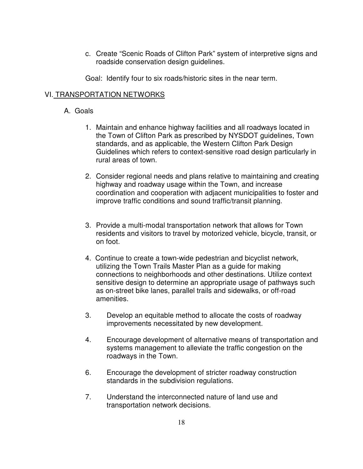- c. Create "Scenic Roads of Clifton Park" system of interpretive signs and roadside conservation design guidelines.
- Goal: Identify four to six roads/historic sites in the near term.

#### VI. TRANSPORTATION NETWORKS

#### A. Goals

- 1. Maintain and enhance highway facilities and all roadways located in the Town of Clifton Park as prescribed by NYSDOT guidelines, Town standards, and as applicable, the Western Clifton Park Design Guidelines which refers to context-sensitive road design particularly in rural areas of town.
- 2. Consider regional needs and plans relative to maintaining and creating highway and roadway usage within the Town, and increase coordination and cooperation with adjacent municipalities to foster and improve traffic conditions and sound traffic/transit planning.
- 3. Provide a multi-modal transportation network that allows for Town residents and visitors to travel by motorized vehicle, bicycle, transit, or on foot.
- 4. Continue to create a town-wide pedestrian and bicyclist network, utilizing the Town Trails Master Plan as a guide for making connections to neighborhoods and other destinations. Utilize context sensitive design to determine an appropriate usage of pathways such as on-street bike lanes, parallel trails and sidewalks, or off-road amenities.
- 3. Develop an equitable method to allocate the costs of roadway improvements necessitated by new development.
- 4. Encourage development of alternative means of transportation and systems management to alleviate the traffic congestion on the roadways in the Town.
- 6. Encourage the development of stricter roadway construction standards in the subdivision regulations.
- 7. Understand the interconnected nature of land use and transportation network decisions.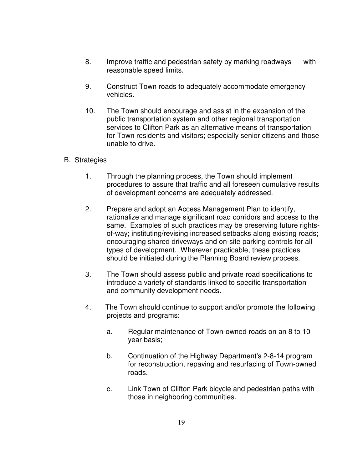- 8. Improve traffic and pedestrian safety by marking roadways with reasonable speed limits.
- 9. Construct Town roads to adequately accommodate emergency vehicles.
- 10. The Town should encourage and assist in the expansion of the public transportation system and other regional transportation services to Clifton Park as an alternative means of transportation for Town residents and visitors; especially senior citizens and those unable to drive.
- B. Strategies
	- 1. Through the planning process, the Town should implement procedures to assure that traffic and all foreseen cumulative results of development concerns are adequately addressed.
	- 2. Prepare and adopt an Access Management Plan to identify, rationalize and manage significant road corridors and access to the same. Examples of such practices may be preserving future rightsof-way; instituting/revising increased setbacks along existing roads; encouraging shared driveways and on-site parking controls for all types of development. Wherever practicable, these practices should be initiated during the Planning Board review process.
	- 3. The Town should assess public and private road specifications to introduce a variety of standards linked to specific transportation and community development needs.
	- 4. The Town should continue to support and/or promote the following projects and programs:
		- a. Regular maintenance of Town-owned roads on an 8 to 10 year basis;
		- b. Continuation of the Highway Department's 2-8-14 program for reconstruction, repaving and resurfacing of Town-owned roads.
		- c. Link Town of Clifton Park bicycle and pedestrian paths with those in neighboring communities.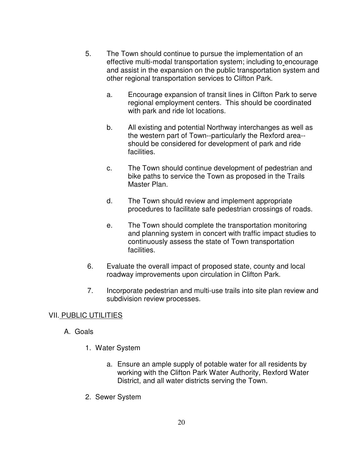- 5. The Town should continue to pursue the implementation of an effective multi-modal transportation system; including to encourage and assist in the expansion on the public transportation system and other regional transportation services to Clifton Park.
	- a. Encourage expansion of transit lines in Clifton Park to serve regional employment centers. This should be coordinated with park and ride lot locations.
	- b. All existing and potential Northway interchanges as well as the western part of Town--particularly the Rexford area- should be considered for development of park and ride facilities.
	- c. The Town should continue development of pedestrian and bike paths to service the Town as proposed in the Trails Master Plan.
	- d. The Town should review and implement appropriate procedures to facilitate safe pedestrian crossings of roads.
	- e. The Town should complete the transportation monitoring and planning system in concert with traffic impact studies to continuously assess the state of Town transportation facilities.
- 6. Evaluate the overall impact of proposed state, county and local roadway improvements upon circulation in Clifton Park.
- 7. Incorporate pedestrian and multi-use trails into site plan review and subdivision review processes.

# VII. PUBLIC UTILITIES

- A. Goals
	- 1. Water System
		- a. Ensure an ample supply of potable water for all residents by working with the Clifton Park Water Authority, Rexford Water District, and all water districts serving the Town.
	- 2. Sewer System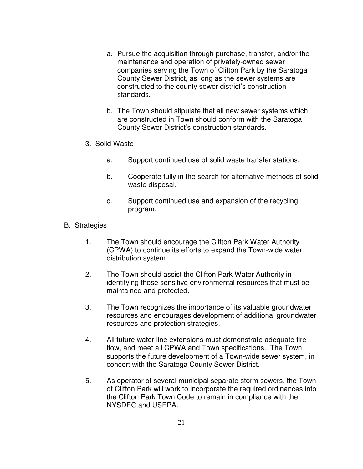- a. Pursue the acquisition through purchase, transfer, and/or the maintenance and operation of privately-owned sewer companies serving the Town of Clifton Park by the Saratoga County Sewer District, as long as the sewer systems are constructed to the county sewer district's construction standards.
- b. The Town should stipulate that all new sewer systems which are constructed in Town should conform with the Saratoga County Sewer District's construction standards.
- 3. Solid Waste
	- a. Support continued use of solid waste transfer stations.
	- b. Cooperate fully in the search for alternative methods of solid waste disposal.
	- c. Support continued use and expansion of the recycling program.
- B. Strategies
	- 1. The Town should encourage the Clifton Park Water Authority (CPWA) to continue its efforts to expand the Town-wide water distribution system.
	- 2. The Town should assist the Clifton Park Water Authority in identifying those sensitive environmental resources that must be maintained and protected.
	- 3. The Town recognizes the importance of its valuable groundwater resources and encourages development of additional groundwater resources and protection strategies.
	- 4. All future water line extensions must demonstrate adequate fire flow, and meet all CPWA and Town specifications. The Town supports the future development of a Town-wide sewer system, in concert with the Saratoga County Sewer District.
	- 5. As operator of several municipal separate storm sewers, the Town of Clifton Park will work to incorporate the required ordinances into the Clifton Park Town Code to remain in compliance with the NYSDEC and USEPA.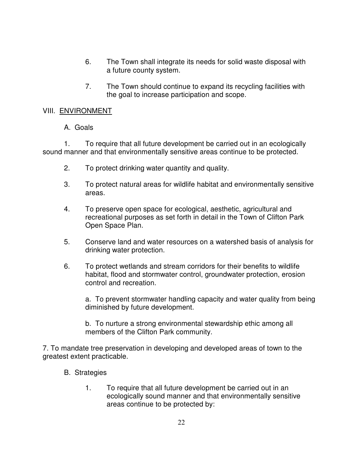- 6. The Town shall integrate its needs for solid waste disposal with a future county system.
- 7. The Town should continue to expand its recycling facilities with the goal to increase participation and scope.

# VIII. ENVIRONMENT

# A. Goals

1. To require that all future development be carried out in an ecologically sound manner and that environmentally sensitive areas continue to be protected.

- 2. To protect drinking water quantity and quality.
- 3. To protect natural areas for wildlife habitat and environmentally sensitive areas.
- 4. To preserve open space for ecological, aesthetic, agricultural and recreational purposes as set forth in detail in the Town of Clifton Park Open Space Plan.
- 5. Conserve land and water resources on a watershed basis of analysis for drinking water protection.
- 6. To protect wetlands and stream corridors for their benefits to wildlife habitat, flood and stormwater control, groundwater protection, erosion control and recreation.

a. To prevent stormwater handling capacity and water quality from being diminished by future development.

b. To nurture a strong environmental stewardship ethic among all members of the Clifton Park community.

7. To mandate tree preservation in developing and developed areas of town to the greatest extent practicable.

- B. Strategies
	- 1. To require that all future development be carried out in an ecologically sound manner and that environmentally sensitive areas continue to be protected by: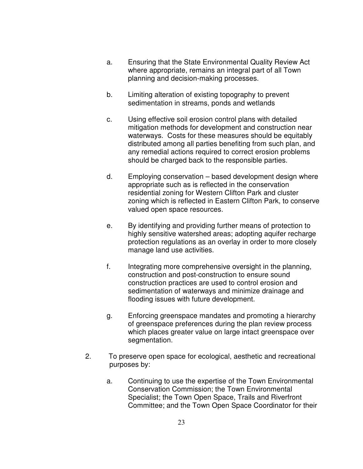- a. Ensuring that the State Environmental Quality Review Act where appropriate, remains an integral part of all Town planning and decision-making processes.
- b. Limiting alteration of existing topography to prevent sedimentation in streams, ponds and wetlands
- c. Using effective soil erosion control plans with detailed mitigation methods for development and construction near waterways. Costs for these measures should be equitably distributed among all parties benefiting from such plan, and any remedial actions required to correct erosion problems should be charged back to the responsible parties.
- d. Employing conservation based development design where appropriate such as is reflected in the conservation residential zoning for Western Clifton Park and cluster zoning which is reflected in Eastern Clifton Park, to conserve valued open space resources.
- e. By identifying and providing further means of protection to highly sensitive watershed areas; adopting aquifer recharge protection regulations as an overlay in order to more closely manage land use activities.
- f. Integrating more comprehensive oversight in the planning, construction and post-construction to ensure sound construction practices are used to control erosion and sedimentation of waterways and minimize drainage and flooding issues with future development.
- g. Enforcing greenspace mandates and promoting a hierarchy of greenspace preferences during the plan review process which places greater value on large intact greenspace over segmentation.
- 2. To preserve open space for ecological, aesthetic and recreational purposes by:
	- a. Continuing to use the expertise of the Town Environmental Conservation Commission; the Town Environmental Specialist; the Town Open Space, Trails and Riverfront Committee; and the Town Open Space Coordinator for their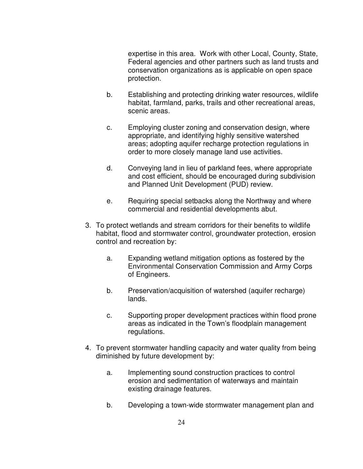expertise in this area. Work with other Local, County, State, Federal agencies and other partners such as land trusts and conservation organizations as is applicable on open space protection.

- b. Establishing and protecting drinking water resources, wildlife habitat, farmland, parks, trails and other recreational areas, scenic areas.
- c. Employing cluster zoning and conservation design, where appropriate, and identifying highly sensitive watershed areas; adopting aquifer recharge protection regulations in order to more closely manage land use activities.
- d. Conveying land in lieu of parkland fees, where appropriate and cost efficient, should be encouraged during subdivision and Planned Unit Development (PUD) review.
- e. Requiring special setbacks along the Northway and where commercial and residential developments abut.
- 3. To protect wetlands and stream corridors for their benefits to wildlife habitat, flood and stormwater control, groundwater protection, erosion control and recreation by:
	- a. Expanding wetland mitigation options as fostered by the Environmental Conservation Commission and Army Corps of Engineers.
	- b. Preservation/acquisition of watershed (aquifer recharge) lands.
	- c. Supporting proper development practices within flood prone areas as indicated in the Town's floodplain management regulations.
- 4. To prevent stormwater handling capacity and water quality from being diminished by future development by:
	- a. Implementing sound construction practices to control erosion and sedimentation of waterways and maintain existing drainage features.
	- b. Developing a town-wide stormwater management plan and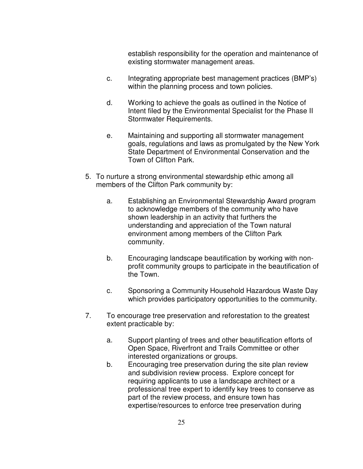establish responsibility for the operation and maintenance of existing stormwater management areas.

- c. Integrating appropriate best management practices (BMP's) within the planning process and town policies.
- d. Working to achieve the goals as outlined in the Notice of Intent filed by the Environmental Specialist for the Phase II Stormwater Requirements.
- e. Maintaining and supporting all stormwater management goals, regulations and laws as promulgated by the New York State Department of Environmental Conservation and the Town of Clifton Park.
- 5. To nurture a strong environmental stewardship ethic among all members of the Clifton Park community by:
	- a. Establishing an Environmental Stewardship Award program to acknowledge members of the community who have shown leadership in an activity that furthers the understanding and appreciation of the Town natural environment among members of the Clifton Park community.
	- b. Encouraging landscape beautification by working with nonprofit community groups to participate in the beautification of the Town.
	- c. Sponsoring a Community Household Hazardous Waste Day which provides participatory opportunities to the community.
- 7. To encourage tree preservation and reforestation to the greatest extent practicable by:
	- a. Support planting of trees and other beautification efforts of Open Space, Riverfront and Trails Committee or other interested organizations or groups.
	- b. Encouraging tree preservation during the site plan review and subdivision review process. Explore concept for requiring applicants to use a landscape architect or a professional tree expert to identify key trees to conserve as part of the review process, and ensure town has expertise/resources to enforce tree preservation during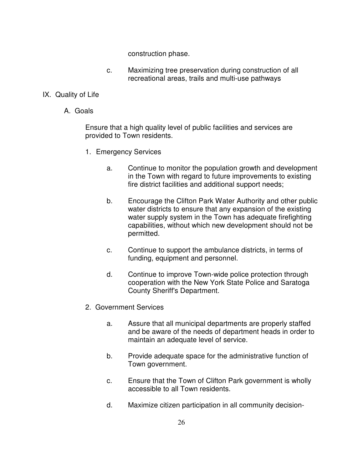construction phase.

c. Maximizing tree preservation during construction of all recreational areas, trails and multi-use pathways

# IX. Quality of Life

A. Goals

Ensure that a high quality level of public facilities and services are provided to Town residents.

- 1. Emergency Services
	- a. Continue to monitor the population growth and development in the Town with regard to future improvements to existing fire district facilities and additional support needs;
	- b. Encourage the Clifton Park Water Authority and other public water districts to ensure that any expansion of the existing water supply system in the Town has adequate firefighting capabilities, without which new development should not be permitted.
	- c. Continue to support the ambulance districts, in terms of funding, equipment and personnel.
	- d. Continue to improve Town-wide police protection through cooperation with the New York State Police and Saratoga County Sheriff's Department.
- 2. Government Services
	- a. Assure that all municipal departments are properly staffed and be aware of the needs of department heads in order to maintain an adequate level of service.
	- b. Provide adequate space for the administrative function of Town government.
	- c. Ensure that the Town of Clifton Park government is wholly accessible to all Town residents.
	- d. Maximize citizen participation in all community decision-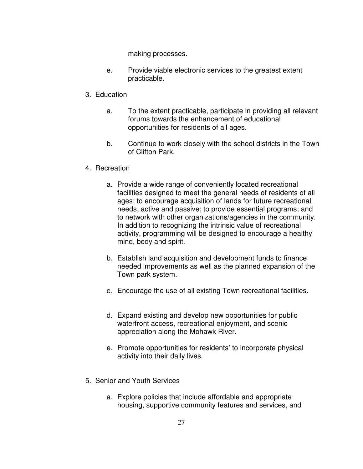making processes.

e. Provide viable electronic services to the greatest extent practicable.

#### 3. Education

- a. To the extent practicable, participate in providing all relevant forums towards the enhancement of educational opportunities for residents of all ages.
- b. Continue to work closely with the school districts in the Town of Clifton Park.

# 4. Recreation

- a. Provide a wide range of conveniently located recreational facilities designed to meet the general needs of residents of all ages; to encourage acquisition of lands for future recreational needs, active and passive; to provide essential programs; and to network with other organizations/agencies in the community. In addition to recognizing the intrinsic value of recreational activity, programming will be designed to encourage a healthy mind, body and spirit.
- b. Establish land acquisition and development funds to finance needed improvements as well as the planned expansion of the Town park system.
- c. Encourage the use of all existing Town recreational facilities.
- d. Expand existing and develop new opportunities for public waterfront access, recreational enjoyment, and scenic appreciation along the Mohawk River.
- e. Promote opportunities for residents' to incorporate physical activity into their daily lives.
- 5. Senior and Youth Services
	- a. Explore policies that include affordable and appropriate housing, supportive community features and services, and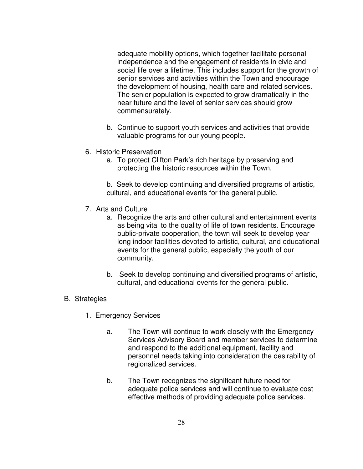adequate mobility options, which together facilitate personal independence and the engagement of residents in civic and social life over a lifetime. This includes support for the growth of senior services and activities within the Town and encourage the development of housing, health care and related services. The senior population is expected to grow dramatically in the near future and the level of senior services should grow commensurately.

- b. Continue to support youth services and activities that provide valuable programs for our young people.
- 6. Historic Preservation
	- a. To protect Clifton Park's rich heritage by preserving and protecting the historic resources within the Town.

b. Seek to develop continuing and diversified programs of artistic, cultural, and educational events for the general public.

- 7. Arts and Culture
	- a. Recognize the arts and other cultural and entertainment events as being vital to the quality of life of town residents. Encourage public-private cooperation, the town will seek to develop year long indoor facilities devoted to artistic, cultural, and educational events for the general public, especially the youth of our community.
	- b. Seek to develop continuing and diversified programs of artistic, cultural, and educational events for the general public.

# B. Strategies

- 1. Emergency Services
	- a. The Town will continue to work closely with the Emergency Services Advisory Board and member services to determine and respond to the additional equipment, facility and personnel needs taking into consideration the desirability of regionalized services.
	- b. The Town recognizes the significant future need for adequate police services and will continue to evaluate cost effective methods of providing adequate police services.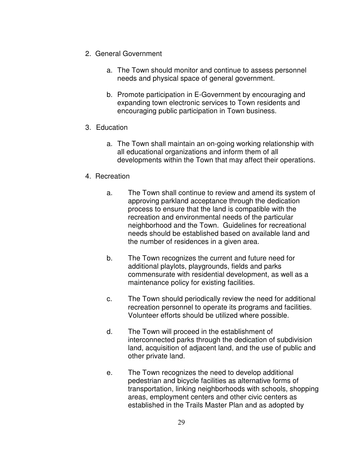- 2. General Government
	- a. The Town should monitor and continue to assess personnel needs and physical space of general government.
	- b. Promote participation in E-Government by encouraging and expanding town electronic services to Town residents and encouraging public participation in Town business.
- 3. Education
	- a. The Town shall maintain an on-going working relationship with all educational organizations and inform them of all developments within the Town that may affect their operations.
- 4. Recreation
	- a. The Town shall continue to review and amend its system of approving parkland acceptance through the dedication process to ensure that the land is compatible with the recreation and environmental needs of the particular neighborhood and the Town. Guidelines for recreational needs should be established based on available land and the number of residences in a given area.
	- b. The Town recognizes the current and future need for additional playlots, playgrounds, fields and parks commensurate with residential development, as well as a maintenance policy for existing facilities.
	- c. The Town should periodically review the need for additional recreation personnel to operate its programs and facilities. Volunteer efforts should be utilized where possible.
	- d. The Town will proceed in the establishment of interconnected parks through the dedication of subdivision land, acquisition of adjacent land, and the use of public and other private land.
	- e. The Town recognizes the need to develop additional pedestrian and bicycle facilities as alternative forms of transportation, linking neighborhoods with schools, shopping areas, employment centers and other civic centers as established in the Trails Master Plan and as adopted by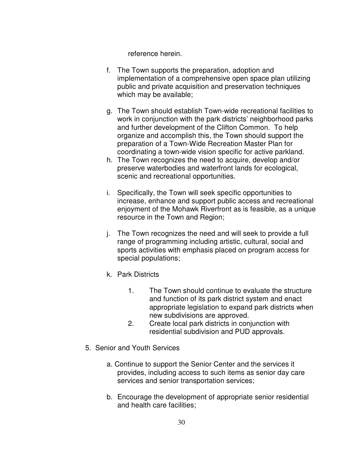reference herein.

- f. The Town supports the preparation, adoption and implementation of a comprehensive open space plan utilizing public and private acquisition and preservation techniques which may be available;
- g. The Town should establish Town-wide recreational facilities to work in conjunction with the park districts' neighborhood parks and further development of the Clifton Common. To help organize and accomplish this, the Town should support the preparation of a Town-Wide Recreation Master Plan for coordinating a town-wide vision specific for active parkland.
- h. The Town recognizes the need to acquire, develop and/or preserve waterbodies and waterfront lands for ecological, scenic and recreational opportunities.
- i. Specifically, the Town will seek specific opportunities to increase, enhance and support public access and recreational enjoyment of the Mohawk Riverfront as is feasible, as a unique resource in the Town and Region;
- j. The Town recognizes the need and will seek to provide a full range of programming including artistic, cultural, social and sports activities with emphasis placed on program access for special populations;
- k. Park Districts
	- 1. The Town should continue to evaluate the structure and function of its park district system and enact appropriate legislation to expand park districts when new subdivisions are approved.
	- 2. Create local park districts in conjunction with residential subdivision and PUD approvals.
- 5. Senior and Youth Services
	- a. Continue to support the Senior Center and the services it provides, including access to such items as senior day care services and senior transportation services;
	- b. Encourage the development of appropriate senior residential and health care facilities;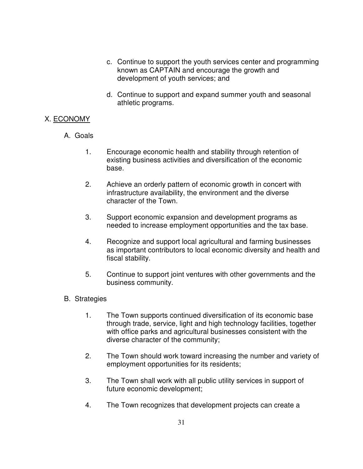- c. Continue to support the youth services center and programming known as CAPTAIN and encourage the growth and development of youth services; and
- d. Continue to support and expand summer youth and seasonal athletic programs.

# X. ECONOMY

- A. Goals
	- 1. Encourage economic health and stability through retention of existing business activities and diversification of the economic base.
	- 2. Achieve an orderly pattern of economic growth in concert with infrastructure availability, the environment and the diverse character of the Town.
	- 3. Support economic expansion and development programs as needed to increase employment opportunities and the tax base.
	- 4. Recognize and support local agricultural and farming businesses as important contributors to local economic diversity and health and fiscal stability.
	- 5. Continue to support joint ventures with other governments and the business community.
- B. Strategies
	- 1. The Town supports continued diversification of its economic base through trade, service, light and high technology facilities, together with office parks and agricultural businesses consistent with the diverse character of the community;
	- 2. The Town should work toward increasing the number and variety of employment opportunities for its residents;
	- 3. The Town shall work with all public utility services in support of future economic development;
	- 4. The Town recognizes that development projects can create a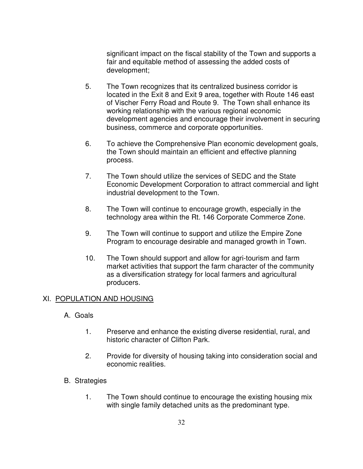significant impact on the fiscal stability of the Town and supports a fair and equitable method of assessing the added costs of development;

- 5. The Town recognizes that its centralized business corridor is located in the Exit 8 and Exit 9 area, together with Route 146 east of Vischer Ferry Road and Route 9. The Town shall enhance its working relationship with the various regional economic development agencies and encourage their involvement in securing business, commerce and corporate opportunities.
- 6. To achieve the Comprehensive Plan economic development goals, the Town should maintain an efficient and effective planning process.
- 7. The Town should utilize the services of SEDC and the State Economic Development Corporation to attract commercial and light industrial development to the Town.
- 8. The Town will continue to encourage growth, especially in the technology area within the Rt. 146 Corporate Commerce Zone.
- 9. The Town will continue to support and utilize the Empire Zone Program to encourage desirable and managed growth in Town.
- 10. The Town should support and allow for agri-tourism and farm market activities that support the farm character of the community as a diversification strategy for local farmers and agricultural producers.

#### XI. POPULATION AND HOUSING

- A. Goals
	- 1. Preserve and enhance the existing diverse residential, rural, and historic character of Clifton Park.
	- 2. Provide for diversity of housing taking into consideration social and economic realities.
- B. Strategies
	- 1. The Town should continue to encourage the existing housing mix with single family detached units as the predominant type.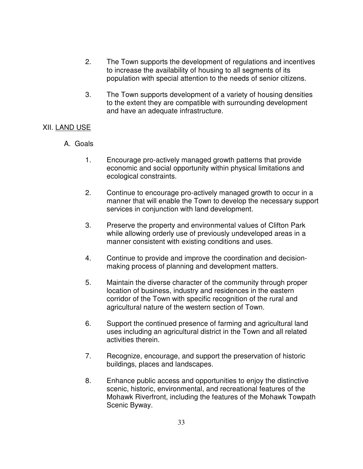- 2. The Town supports the development of regulations and incentives to increase the availability of housing to all segments of its population with special attention to the needs of senior citizens.
- 3. The Town supports development of a variety of housing densities to the extent they are compatible with surrounding development and have an adequate infrastructure.

# XII. LAND USE

- A. Goals
	- 1. Encourage pro-actively managed growth patterns that provide economic and social opportunity within physical limitations and ecological constraints.
	- 2. Continue to encourage pro-actively managed growth to occur in a manner that will enable the Town to develop the necessary support services in conjunction with land development.
	- 3. Preserve the property and environmental values of Clifton Park while allowing orderly use of previously undeveloped areas in a manner consistent with existing conditions and uses.
	- 4. Continue to provide and improve the coordination and decisionmaking process of planning and development matters.
	- 5. Maintain the diverse character of the community through proper location of business, industry and residences in the eastern corridor of the Town with specific recognition of the rural and agricultural nature of the western section of Town.
	- 6. Support the continued presence of farming and agricultural land uses including an agricultural district in the Town and all related activities therein.
	- 7. Recognize, encourage, and support the preservation of historic buildings, places and landscapes.
	- 8. Enhance public access and opportunities to enjoy the distinctive scenic, historic, environmental, and recreational features of the Mohawk Riverfront, including the features of the Mohawk Towpath Scenic Byway.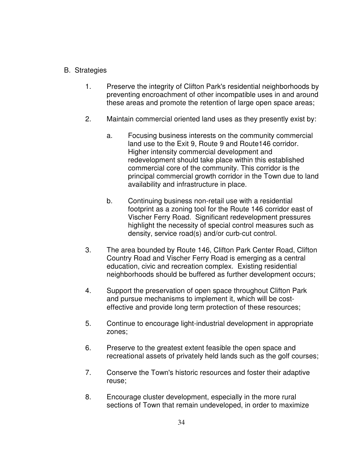# B. Strategies

- 1. Preserve the integrity of Clifton Park's residential neighborhoods by preventing encroachment of other incompatible uses in and around these areas and promote the retention of large open space areas;
- 2. Maintain commercial oriented land uses as they presently exist by:
	- a. Focusing business interests on the community commercial land use to the Exit 9, Route 9 and Route146 corridor. Higher intensity commercial development and redevelopment should take place within this established commercial core of the community. This corridor is the principal commercial growth corridor in the Town due to land availability and infrastructure in place.
	- b. Continuing business non-retail use with a residential footprint as a zoning tool for the Route 146 corridor east of Vischer Ferry Road. Significant redevelopment pressures highlight the necessity of special control measures such as density, service road(s) and/or curb-cut control.
- 3. The area bounded by Route 146, Clifton Park Center Road, Clifton Country Road and Vischer Ferry Road is emerging as a central education, civic and recreation complex. Existing residential neighborhoods should be buffered as further development occurs;
- 4. Support the preservation of open space throughout Clifton Park and pursue mechanisms to implement it, which will be costeffective and provide long term protection of these resources;
- 5. Continue to encourage light-industrial development in appropriate zones;
- 6. Preserve to the greatest extent feasible the open space and recreational assets of privately held lands such as the golf courses;
- 7. Conserve the Town's historic resources and foster their adaptive reuse;
- 8. Encourage cluster development, especially in the more rural sections of Town that remain undeveloped, in order to maximize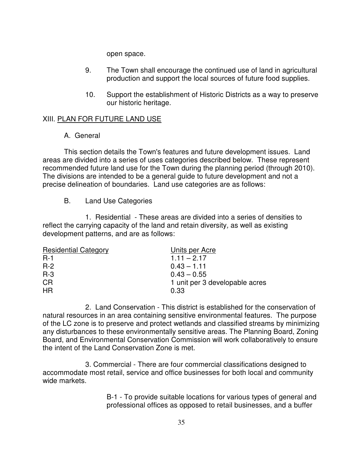open space.

- 9. The Town shall encourage the continued use of land in agricultural production and support the local sources of future food supplies.
- 10. Support the establishment of Historic Districts as a way to preserve our historic heritage.

# XIII. PLAN FOR FUTURE LAND USE

#### A. General

This section details the Town's features and future development issues. Land areas are divided into a series of uses categories described below. These represent recommended future land use for the Town during the planning period (through 2010). The divisions are intended to be a general guide to future development and not a precise delineation of boundaries. Land use categories are as follows:

# B. Land Use Categories

1. Residential - These areas are divided into a series of densities to reflect the carrying capacity of the land and retain diversity, as well as existing development patterns, and are as follows:

| <b>Residential Category</b> | Units per Acre                 |
|-----------------------------|--------------------------------|
| $R-1$                       | $1.11 - 2.17$                  |
| $R-2$                       | $0.43 - 1.11$                  |
| $R-3$                       | $0.43 - 0.55$                  |
| <b>CR</b>                   | 1 unit per 3 developable acres |
| HR                          | 0.33                           |

2. Land Conservation - This district is established for the conservation of natural resources in an area containing sensitive environmental features. The purpose of the LC zone is to preserve and protect wetlands and classified streams by minimizing any disturbances to these environmentally sensitive areas. The Planning Board, Zoning Board, and Environmental Conservation Commission will work collaboratively to ensure the intent of the Land Conservation Zone is met.

3. Commercial - There are four commercial classifications designed to accommodate most retail, service and office businesses for both local and community wide markets.

> B-1 - To provide suitable locations for various types of general and professional offices as opposed to retail businesses, and a buffer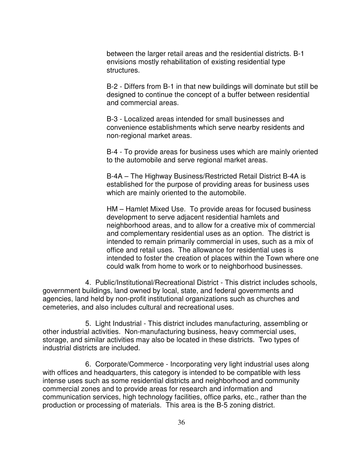between the larger retail areas and the residential districts. B-1 envisions mostly rehabilitation of existing residential type structures.

B-2 - Differs from B-1 in that new buildings will dominate but still be designed to continue the concept of a buffer between residential and commercial areas.

B-3 - Localized areas intended for small businesses and convenience establishments which serve nearby residents and non-regional market areas.

B-4 - To provide areas for business uses which are mainly oriented to the automobile and serve regional market areas.

B-4A – The Highway Business/Restricted Retail District B-4A is established for the purpose of providing areas for business uses which are mainly oriented to the automobile.

HM – Hamlet Mixed Use. To provide areas for focused business development to serve adjacent residential hamlets and neighborhood areas, and to allow for a creative mix of commercial and complementary residential uses as an option. The district is intended to remain primarily commercial in uses, such as a mix of office and retail uses. The allowance for residential uses is intended to foster the creation of places within the Town where one could walk from home to work or to neighborhood businesses.

4. Public/Institutional/Recreational District - This district includes schools, government buildings, land owned by local, state, and federal governments and agencies, land held by non-profit institutional organizations such as churches and cemeteries, and also includes cultural and recreational uses.

5. Light Industrial - This district includes manufacturing, assembling or other industrial activities. Non-manufacturing business, heavy commercial uses, storage, and similar activities may also be located in these districts. Two types of industrial districts are included.

6. Corporate/Commerce - Incorporating very light industrial uses along with offices and headquarters, this category is intended to be compatible with less intense uses such as some residential districts and neighborhood and community commercial zones and to provide areas for research and information and communication services, high technology facilities, office parks, etc., rather than the production or processing of materials. This area is the B-5 zoning district.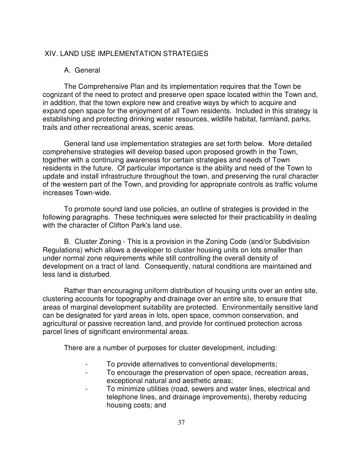#### XIV. LAND USE IMPLEMENTATION STRATEGIES

#### A. General

The Comprehensive Plan and its implementation requires that the Town be cognizant of the need to protect and preserve open space located within the Town and, in addition, that the town explore new and creative ways by which to acquire and expand open space for the enjoyment of all Town residents. Included in this strategy is establishing and protecting drinking water resources, wildlife habitat, farmland, parks, trails and other recreational areas, scenic areas.

General land use implementation strategies are set forth below. More detailed comprehensive strategies will develop based upon proposed growth in the Town, together with a continuing awareness for certain strategies and needs of Town residents in the future. Of particular importance is the ability and need of the Town to update and install infrastructure throughout the town, and preserving the rural character of the western part of the Town, and providing for appropriate controls as traffic volume increases Town-wide.

To promote sound land use policies, an outline of strategies is provided in the following paragraphs. These techniques were selected for their practicability in dealing with the character of Clifton Park's land use.

B. Cluster Zoning - This is a provision in the Zoning Code (and/or Subdivision Regulations) which allows a developer to cluster housing units on lots smaller than under normal zone requirements while still controlling the overall density of development on a tract of land. Consequently, natural conditions are maintained and less land is disturbed.

Rather than encouraging uniform distribution of housing units over an entire site, clustering accounts for topography and drainage over an entire site, to ensure that areas of marginal development suitability are protected. Environmentally sensitive land can be designated for yard areas in lots, open space, common conservation, and agricultural or passive recreation land, and provide for continued protection across parcel lines of significant environmental areas.

There are a number of purposes for cluster development, including:

- To provide alternatives to conventional developments;
- To encourage the preservation of open space, recreation areas, exceptional natural and aesthetic areas;
- To minimize utilities (road, sewers and water lines, electrical and telephone lines, and drainage improvements), thereby reducing housing costs; and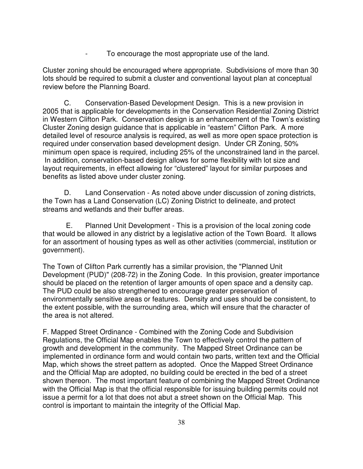- To encourage the most appropriate use of the land.

Cluster zoning should be encouraged where appropriate. Subdivisions of more than 30 lots should be required to submit a cluster and conventional layout plan at conceptual review before the Planning Board.

C. Conservation-Based Development Design. This is a new provision in 2005 that is applicable for developments in the Conservation Residential Zoning District in Western Clifton Park. Conservation design is an enhancement of the Town's existing Cluster Zoning design guidance that is applicable in "eastern" Clifton Park. A more detailed level of resource analysis is required, as well as more open space protection is required under conservation based development design. Under CR Zoning, 50% minimum open space is required, including 25% of the unconstrained land in the parcel. In addition, conservation-based design allows for some flexibility with lot size and layout requirements, in effect allowing for "clustered" layout for similar purposes and benefits as listed above under cluster zoning.

D. Land Conservation - As noted above under discussion of zoning districts, the Town has a Land Conservation (LC) Zoning District to delineate, and protect streams and wetlands and their buffer areas.

 E. Planned Unit Development - This is a provision of the local zoning code that would be allowed in any district by a legislative action of the Town Board. It allows for an assortment of housing types as well as other activities (commercial, institution or government).

The Town of Clifton Park currently has a similar provision, the "Planned Unit Development (PUD)" (208-72) in the Zoning Code. In this provision, greater importance should be placed on the retention of larger amounts of open space and a density cap. The PUD could be also strengthened to encourage greater preservation of environmentally sensitive areas or features. Density and uses should be consistent, to the extent possible, with the surrounding area, which will ensure that the character of the area is not altered.

F. Mapped Street Ordinance - Combined with the Zoning Code and Subdivision Regulations, the Official Map enables the Town to effectively control the pattern of growth and development in the community. The Mapped Street Ordinance can be implemented in ordinance form and would contain two parts, written text and the Official Map, which shows the street pattern as adopted. Once the Mapped Street Ordinance and the Official Map are adopted, no building could be erected in the bed of a street shown thereon. The most important feature of combining the Mapped Street Ordinance with the Official Map is that the official responsible for issuing building permits could not issue a permit for a lot that does not abut a street shown on the Official Map. This control is important to maintain the integrity of the Official Map.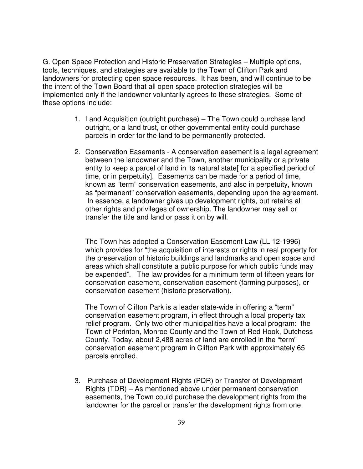G. Open Space Protection and Historic Preservation Strategies – Multiple options, tools, techniques, and strategies are available to the Town of Clifton Park and landowners for protecting open space resources. It has been, and will continue to be the intent of the Town Board that all open space protection strategies will be implemented only if the landowner voluntarily agrees to these strategies. Some of these options include:

- 1. Land Acquisition (outright purchase) The Town could purchase land outright, or a land trust, or other governmental entity could purchase parcels in order for the land to be permanently protected.
- 2. Conservation Easements A conservation easement is a legal agreement between the landowner and the Town, another municipality or a private entity to keep a parcel of land in its natural state for a specified period of time, or in perpetuity]. Easements can be made for a period of time, known as "term" conservation easements, and also in perpetuity, known as "permanent" conservation easements, depending upon the agreement. In essence, a landowner gives up development rights, but retains all other rights and privileges of ownership. The landowner may sell or transfer the title and land or pass it on by will.

The Town has adopted a Conservation Easement Law (LL 12-1996) which provides for "the acquisition of interests or rights in real property for the preservation of historic buildings and landmarks and open space and areas which shall constitute a public purpose for which public funds may be expended". The law provides for a minimum term of fifteen years for conservation easement, conservation easement (farming purposes), or conservation easement (historic preservation).

The Town of Clifton Park is a leader state-wide in offering a "term" conservation easement program, in effect through a local property tax relief program. Only two other municipalities have a local program: the Town of Perinton, Monroe County and the Town of Red Hook, Dutchess County. Today, about 2,488 acres of land are enrolled in the "term" conservation easement program in Clifton Park with approximately 65 parcels enrolled.

3. Purchase of Development Rights (PDR) or Transfer of Development Rights (TDR) – As mentioned above under permanent conservation easements, the Town could purchase the development rights from the landowner for the parcel or transfer the development rights from one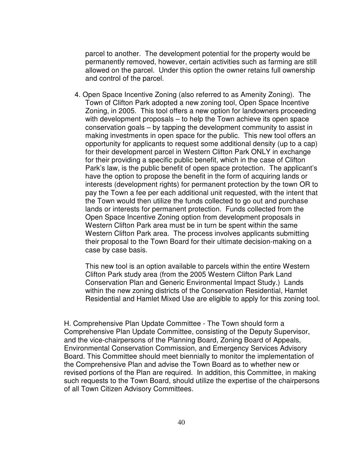parcel to another. The development potential for the property would be permanently removed, however, certain activities such as farming are still allowed on the parcel. Under this option the owner retains full ownership and control of the parcel.

4. Open Space Incentive Zoning (also referred to as Amenity Zoning). The Town of Clifton Park adopted a new zoning tool, Open Space Incentive Zoning, in 2005. This tool offers a new option for landowners proceeding with development proposals – to help the Town achieve its open space conservation goals – by tapping the development community to assist in making investments in open space for the public. This new tool offers an opportunity for applicants to request some additional density (up to a cap) for their development parcel in Western Clifton Park ONLY in exchange for their providing a specific public benefit, which in the case of Clifton Park's law, is the public benefit of open space protection. The applicant's have the option to propose the benefit in the form of acquiring lands or interests (development rights) for permanent protection by the town OR to pay the Town a fee per each additional unit requested, with the intent that the Town would then utilize the funds collected to go out and purchase lands or interests for permanent protection. Funds collected from the Open Space Incentive Zoning option from development proposals in Western Clifton Park area must be in turn be spent within the same Western Clifton Park area. The process involves applicants submitting their proposal to the Town Board for their ultimate decision-making on a case by case basis.

This new tool is an option available to parcels within the entire Western Clifton Park study area (from the 2005 Western Clifton Park Land Conservation Plan and Generic Environmental Impact Study.) Lands within the new zoning districts of the Conservation Residential, Hamlet Residential and Hamlet Mixed Use are eligible to apply for this zoning tool.

H. Comprehensive Plan Update Committee - The Town should form a Comprehensive Plan Update Committee, consisting of the Deputy Supervisor, and the vice-chairpersons of the Planning Board, Zoning Board of Appeals, Environmental Conservation Commission, and Emergency Services Advisory Board. This Committee should meet biennially to monitor the implementation of the Comprehensive Plan and advise the Town Board as to whether new or revised portions of the Plan are required. In addition, this Committee, in making such requests to the Town Board, should utilize the expertise of the chairpersons of all Town Citizen Advisory Committees.